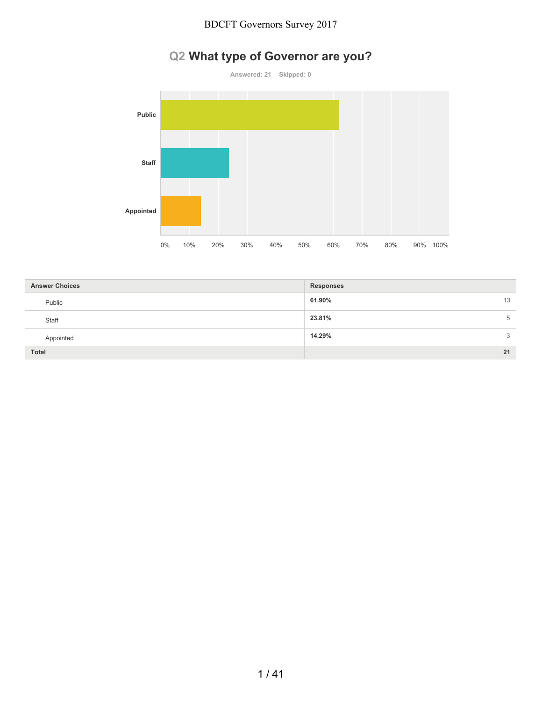# **Q2 What type of Governor are you?**



| <b>Answer Choices</b> | <b>Responses</b> |
|-----------------------|------------------|
| Public                | 61.90%<br>13     |
| Staff                 | 23.81%<br>5      |
| Appointed             | 14.29%<br>3      |
| <b>Total</b>          | 21               |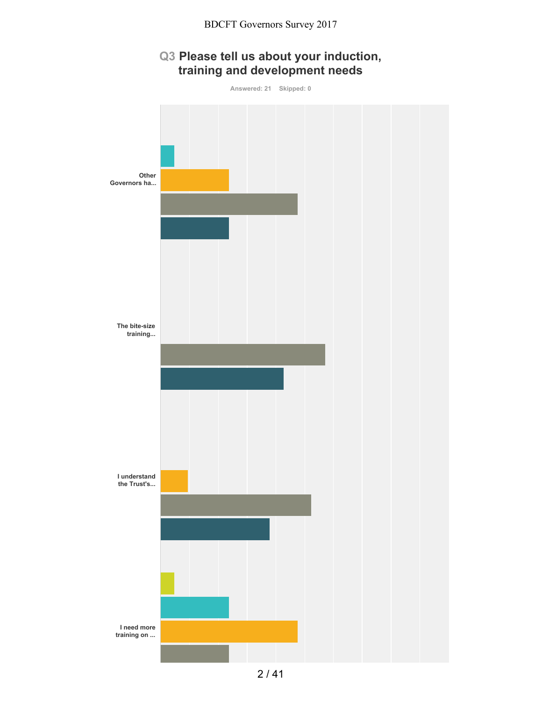# **Q3 Please tell us about your induction, training and development needs**

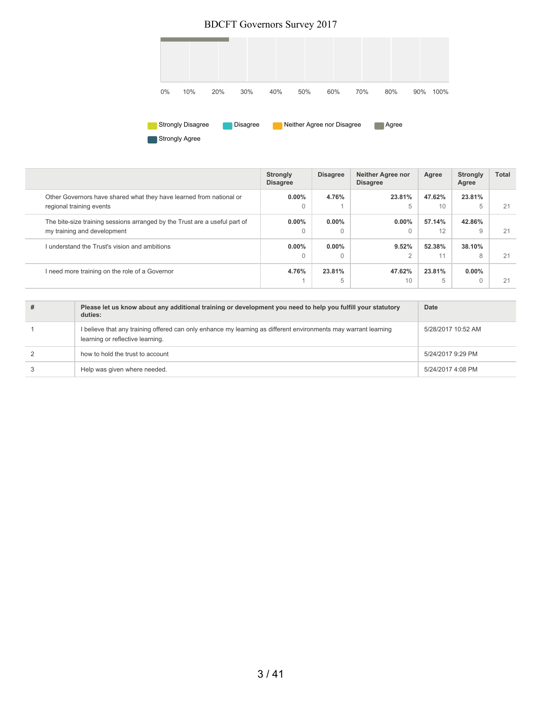

|                                                                                                           | <b>Strongly</b><br><b>Disagree</b> | <b>Disagree</b>      | <b>Neither Agree nor</b><br><b>Disagree</b> | Agree        | <b>Strongly</b><br>Agree | <b>Total</b> |
|-----------------------------------------------------------------------------------------------------------|------------------------------------|----------------------|---------------------------------------------|--------------|--------------------------|--------------|
| Other Governors have shared what they have learned from national or<br>regional training events           | $0.00\%$<br>$\Omega$               | 4.76%                | 23.81%<br>5                                 | 47.62%<br>10 | 23.81%<br>5              | 21           |
| The bite-size training sessions arranged by the Trust are a useful part of<br>my training and development | $0.00\%$<br>$\Omega$               | $0.00\%$<br>$\Omega$ | $0.00\%$                                    | 57.14%<br>12 | 42.86%<br>9              | 21           |
| I understand the Trust's vision and ambitions                                                             | $0.00\%$<br>$\Omega$               | $0.00\%$<br>$\Omega$ | 9.52%<br>$\Omega$                           | 52.38%<br>11 | 38.10%<br>8              | 21           |
| I need more training on the role of a Governor                                                            | 4.76%                              | 23.81%<br>5          | 47.62%<br>10                                | 23.81%<br>5  | $0.00\%$                 | 21           |

| # | Please let us know about any additional training or development you need to help you fulfill your statutory<br>duties:                              | Date               |
|---|-----------------------------------------------------------------------------------------------------------------------------------------------------|--------------------|
|   | I believe that any training offered can only enhance my learning as different environments may warrant learning<br>learning or reflective learning. | 5/28/2017 10:52 AM |
|   | how to hold the trust to account                                                                                                                    | 5/24/2017 9:29 PM  |
|   | Help was given where needed.                                                                                                                        | 5/24/2017 4:08 PM  |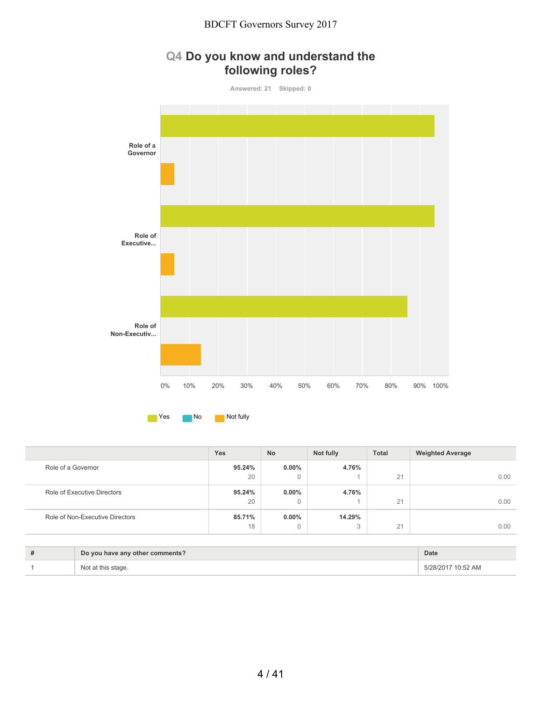



|                                 | Yes    | <b>No</b> | Not fully   | <b>Total</b> | <b>Weighted Average</b> |
|---------------------------------|--------|-----------|-------------|--------------|-------------------------|
| Role of a Governor              | 95.24% | $0.00\%$  | 4.76%       |              |                         |
|                                 | 20     | 0         |             | 21           | 0.00                    |
| Role of Executive Directors     | 95.24% | $0.00\%$  | 4.76%       |              |                         |
|                                 | 20     | 0         |             | 21           | 0.00                    |
| Role of Non-Executive Directors | 85.71% | $0.00\%$  | 14.29%      |              |                         |
|                                 | 18     | 0         | $\sim$<br>O | 21           | 0.00                    |

| # | Do you have any other comments? | <b>Date</b>        |
|---|---------------------------------|--------------------|
|   |                                 | 5/28/2017 10:52 AM |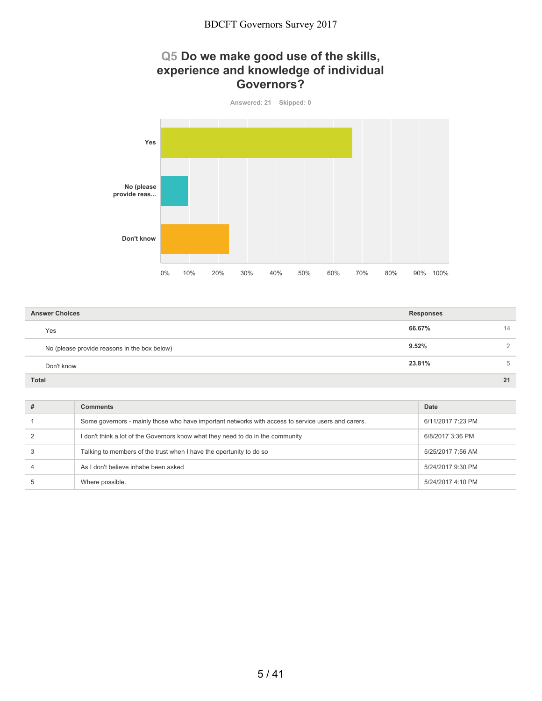#### **Q5 Do we make good use of the skills, experience and knowledge of individual Governors?**



| <b>Answer Choices</b>                        | <b>Responses</b>  |
|----------------------------------------------|-------------------|
| Yes                                          | 66.67%<br>14      |
| No (please provide reasons in the box below) | 9.52%<br>$\Omega$ |
| Don't know                                   | 23.81%<br>5       |
| <b>Total</b>                                 | 21                |

| Comments                                                                                           | Date              |
|----------------------------------------------------------------------------------------------------|-------------------|
| Some governors - mainly those who have important networks with access to service users and carers. | 6/11/2017 7:23 PM |
| I don't think a lot of the Governors know what they need to do in the community                    | 6/8/2017 3:36 PM  |
| Talking to members of the trust when I have the opertunity to do so                                | 5/25/2017 7:56 AM |
| As I don't believe inhabe been asked                                                               | 5/24/2017 9:30 PM |
| Where possible.                                                                                    | 5/24/2017 4:10 PM |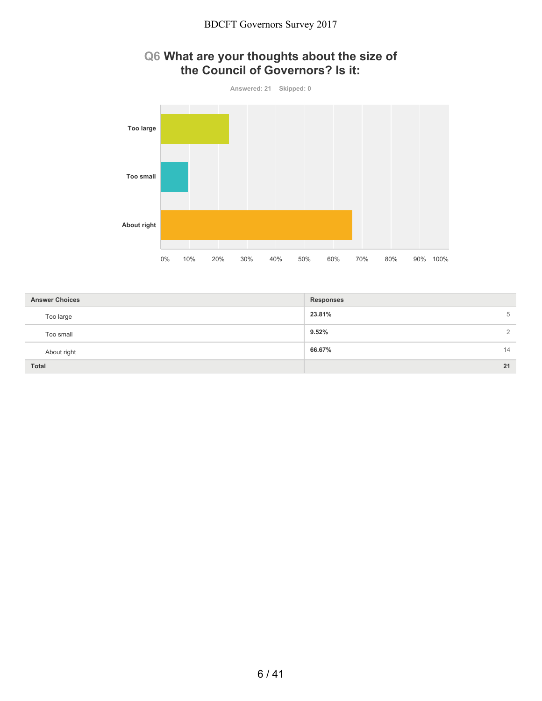

### **Q6 What are your thoughts about the size of the Council of Governors? Is it:**

| <b>Answer Choices</b> | <b>Responses</b>  |
|-----------------------|-------------------|
| Too large             | 23.81%<br>5       |
| Too small             | 9.52%<br>$\Omega$ |
| About right           | 66.67%<br>14      |
| <b>Total</b>          | 21                |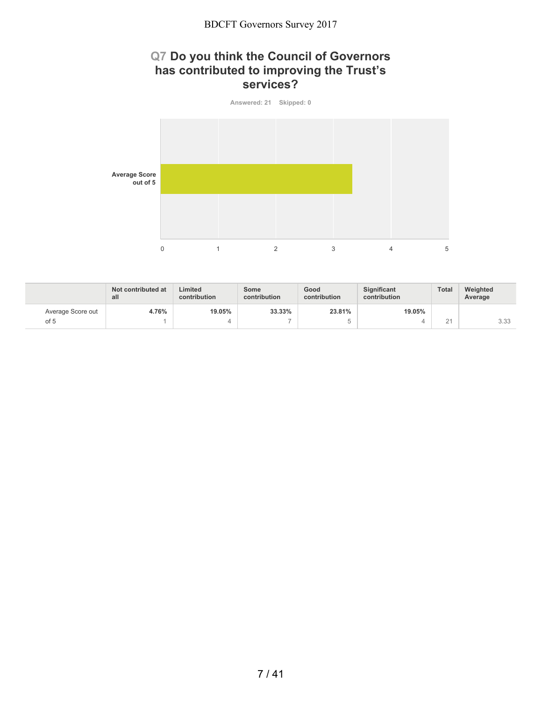#### **Q7 Do you think the Council of Governors has contributed to improving the Trust's services?**



|                   | Not contributed at<br>all | Limited<br>contribution | Some<br>contribution     | Good<br>contribution | <b>Significant</b><br>contribution | Total                           | Weighted<br>Average |
|-------------------|---------------------------|-------------------------|--------------------------|----------------------|------------------------------------|---------------------------------|---------------------|
| Average Score out | 4.76%                     | 19.05%                  | 33.33%                   | 23.81%               | 19.05%                             |                                 |                     |
| of 5              |                           |                         | $\overline{\phantom{a}}$ |                      |                                    | $\bigcap$ $\bigcap$<br><u>_</u> | 3.33                |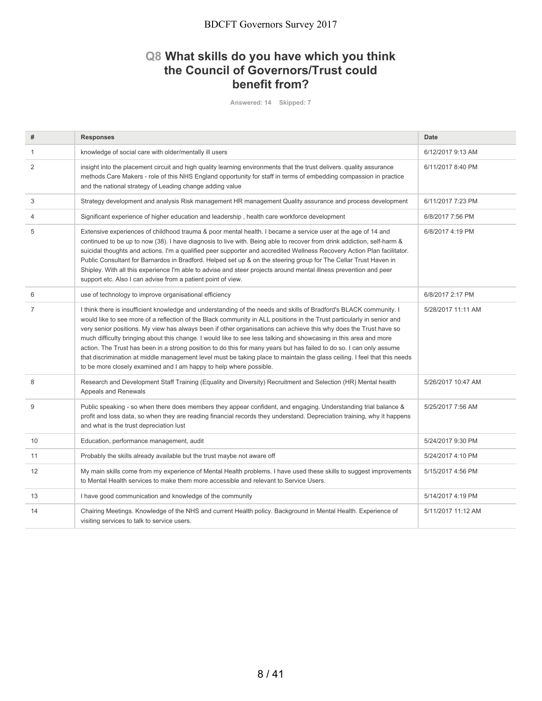### **Q8 What skills do you have which you think the Council of Governors/Trust could benefit from?**

**Answered: 14 Skipped: 7**

| #              | <b>Responses</b>                                                                                                                                                                                                                                                                                                                                                                                                                                                                                                                                                                                                                                                                                                                                                                                                  | Date               |
|----------------|-------------------------------------------------------------------------------------------------------------------------------------------------------------------------------------------------------------------------------------------------------------------------------------------------------------------------------------------------------------------------------------------------------------------------------------------------------------------------------------------------------------------------------------------------------------------------------------------------------------------------------------------------------------------------------------------------------------------------------------------------------------------------------------------------------------------|--------------------|
| 1              | knowledge of social care with older/mentally ill users                                                                                                                                                                                                                                                                                                                                                                                                                                                                                                                                                                                                                                                                                                                                                            | 6/12/2017 9:13 AM  |
| 2              | insight into the placement circuit and high quality learning environments that the trust delivers. quality assurance<br>methods Care Makers - role of this NHS England opportunity for staff in terms of embedding compassion in practice<br>and the national strategy of Leading change adding value                                                                                                                                                                                                                                                                                                                                                                                                                                                                                                             | 6/11/2017 8:40 PM  |
| 3              | Strategy development and analysis Risk management HR management Quality assurance and process development                                                                                                                                                                                                                                                                                                                                                                                                                                                                                                                                                                                                                                                                                                         | 6/11/2017 7:23 PM  |
| 4              | Significant experience of higher education and leadership, health care workforce development                                                                                                                                                                                                                                                                                                                                                                                                                                                                                                                                                                                                                                                                                                                      | 6/8/2017 7:56 PM   |
| 5              | Extensive experiences of childhood trauma & poor mental health. I became a service user at the age of 14 and<br>continued to be up to now (38). I have diagnosis to live with. Being able to recover from drink addiction, self-harm &<br>suicidal thoughts and actions. I'm a qualified peer supporter and accredited Wellness Recovery Action Plan facilitator.<br>Public Consultant for Barnardos in Bradford. Helped set up & on the steering group for The Cellar Trust Haven in<br>Shipley. With all this experience I'm able to advise and steer projects around mental illness prevention and peer<br>support etc. Also I can advise from a patient point of view.                                                                                                                                        | 6/8/2017 4:19 PM   |
| 6              | use of technology to improve organisational efficiency                                                                                                                                                                                                                                                                                                                                                                                                                                                                                                                                                                                                                                                                                                                                                            | 6/8/2017 2:17 PM   |
| $\overline{7}$ | I think there is insufficient knowledge and understanding of the needs and skills of Bradford's BLACK community. I<br>would like to see more of a reflection of the Black community in ALL positions in the Trust particularly in senior and<br>very senior positions. My view has always been if other organisations can achieve this why does the Trust have so<br>much difficulty bringing about this change. I would like to see less talking and showcasing in this area and more<br>action. The Trust has been in a strong position to do this for many years but has failed to do so. I can only assume<br>that discrimination at middle management level must be taking place to maintain the glass ceiling. I feel that this needs<br>to be more closely examined and I am happy to help where possible. | 5/28/2017 11:11 AM |
| 8              | Research and Development Staff Training (Equality and Diversity) Recruitment and Selection (HR) Mental health<br>Appeals and Renewals                                                                                                                                                                                                                                                                                                                                                                                                                                                                                                                                                                                                                                                                             | 5/26/2017 10:47 AM |
| 9              | Public speaking - so when there does members they appear confident, and engaging. Understanding trial balance &<br>profit and loss data, so when they are reading financial records they understand. Depreciation training, why it happens<br>and what is the trust depreciation lust                                                                                                                                                                                                                                                                                                                                                                                                                                                                                                                             | 5/25/2017 7:56 AM  |
| 10             | Education, performance management, audit                                                                                                                                                                                                                                                                                                                                                                                                                                                                                                                                                                                                                                                                                                                                                                          | 5/24/2017 9:30 PM  |
| 11             | Probably the skills already available but the trust maybe not aware off                                                                                                                                                                                                                                                                                                                                                                                                                                                                                                                                                                                                                                                                                                                                           | 5/24/2017 4:10 PM  |
| 12             | My main skills come from my experience of Mental Health problems. I have used these skills to suggest improvements<br>to Mental Health services to make them more accessible and relevant to Service Users.                                                                                                                                                                                                                                                                                                                                                                                                                                                                                                                                                                                                       | 5/15/2017 4:56 PM  |
| 13             | I have good communication and knowledge of the community                                                                                                                                                                                                                                                                                                                                                                                                                                                                                                                                                                                                                                                                                                                                                          | 5/14/2017 4:19 PM  |
| 14             | Chairing Meetings. Knowledge of the NHS and current Health policy. Background in Mental Health. Experience of<br>visiting services to talk to service users.                                                                                                                                                                                                                                                                                                                                                                                                                                                                                                                                                                                                                                                      | 5/11/2017 11:12 AM |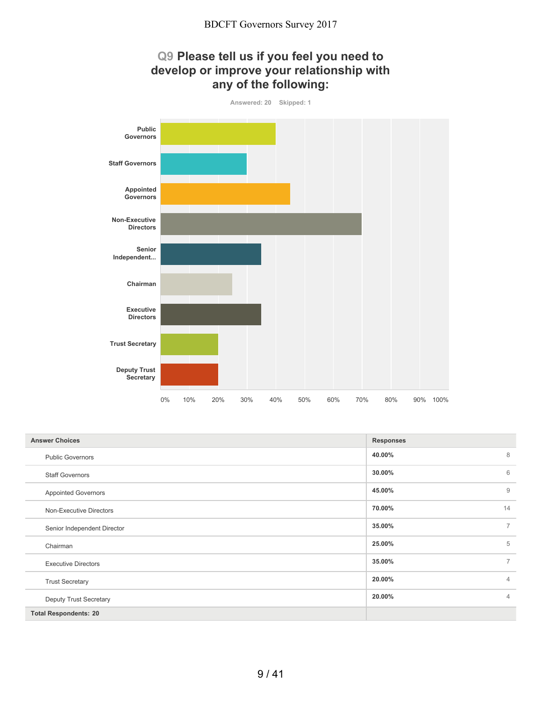

| <b>Answer Choices</b>        | <b>Responses</b>         |
|------------------------------|--------------------------|
| <b>Public Governors</b>      | 8<br>40.00%              |
| <b>Staff Governors</b>       | 6<br>30.00%              |
| <b>Appointed Governors</b>   | 9<br>45.00%              |
| Non-Executive Directors      | 14<br>70.00%             |
| Senior Independent Director  | $\overline{7}$<br>35.00% |
| Chairman                     | 5<br>25.00%              |
| <b>Executive Directors</b>   | $\overline{7}$<br>35.00% |
| <b>Trust Secretary</b>       | 20.00%<br>$\overline{4}$ |
| Deputy Trust Secretary       | 20.00%<br>$\overline{4}$ |
| <b>Total Respondents: 20</b> |                          |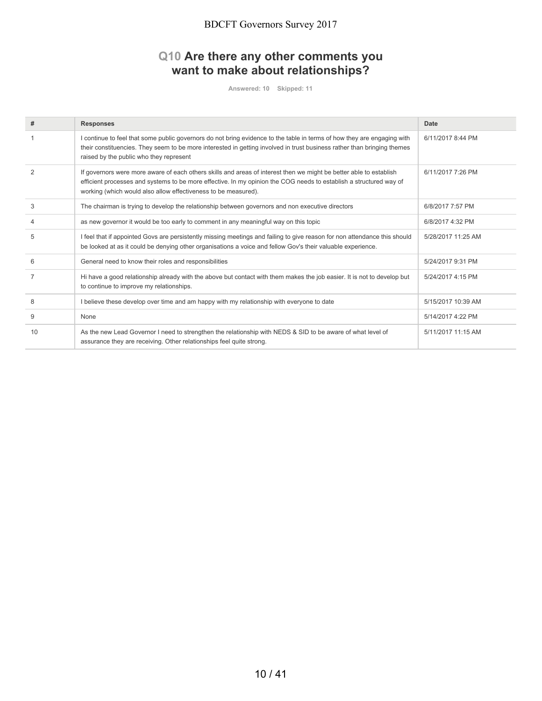#### **Q10 Are there any other comments you want to make about relationships?**

**Answered: 10 Skipped: 11**

| #              | <b>Responses</b>                                                                                                                                                                                                                                                                                           | Date               |
|----------------|------------------------------------------------------------------------------------------------------------------------------------------------------------------------------------------------------------------------------------------------------------------------------------------------------------|--------------------|
|                | I continue to feel that some public governors do not bring evidence to the table in terms of how they are engaging with<br>their constituencies. They seem to be more interested in getting involved in trust business rather than bringing themes<br>raised by the public who they represent              | 6/11/2017 8:44 PM  |
| $\mathfrak{p}$ | If governors were more aware of each others skills and areas of interest then we might be better able to establish<br>efficient processes and systems to be more effective. In my opinion the COG needs to establish a structured way of<br>working (which would also allow effectiveness to be measured). | 6/11/2017 7:26 PM  |
| 3              | The chairman is trying to develop the relationship between governors and non executive directors                                                                                                                                                                                                           | 6/8/2017 7:57 PM   |
| 4              | as new governor it would be too early to comment in any meaningful way on this topic                                                                                                                                                                                                                       | 6/8/2017 4:32 PM   |
| 5              | I feel that if appointed Govs are persistently missing meetings and failing to give reason for non attendance this should<br>be looked at as it could be denying other organisations a voice and fellow Gov's their valuable experience.                                                                   | 5/28/2017 11:25 AM |
| 6              | General need to know their roles and responsibilities                                                                                                                                                                                                                                                      | 5/24/2017 9:31 PM  |
|                | Hi have a good relationship already with the above but contact with them makes the job easier. It is not to develop but<br>to continue to improve my relationships.                                                                                                                                        | 5/24/2017 4:15 PM  |
| 8              | I believe these develop over time and am happy with my relationship with everyone to date                                                                                                                                                                                                                  | 5/15/2017 10:39 AM |
| 9              | None                                                                                                                                                                                                                                                                                                       | 5/14/2017 4:22 PM  |
| 10             | As the new Lead Governor I need to strengthen the relationship with NEDS & SID to be aware of what level of<br>assurance they are receiving. Other relationships feel quite strong.                                                                                                                        | 5/11/2017 11:15 AM |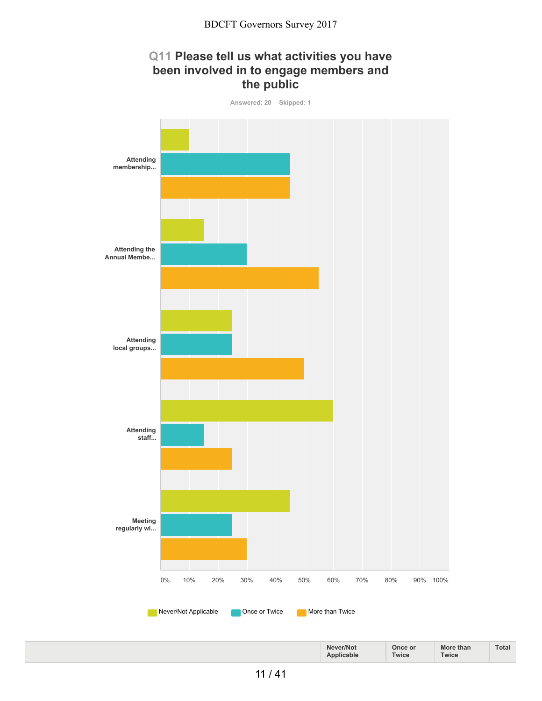## **Q11 Please tell us what activities you have been involved in to engage members and the public**

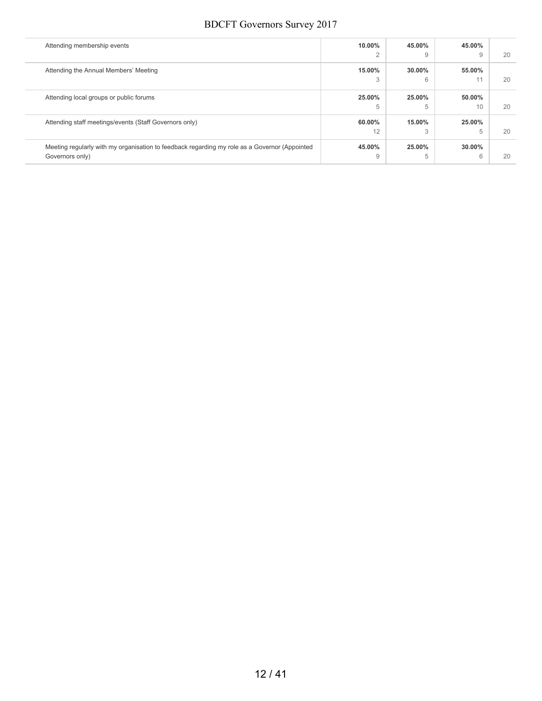| Attending membership events                                                                   | 10.00% | 45.00% | 45.00% |  |
|-----------------------------------------------------------------------------------------------|--------|--------|--------|--|
|                                                                                               | 2      | 9      | 9      |  |
| Attending the Annual Members' Meeting                                                         | 15.00% | 30.00% | 55,00% |  |
|                                                                                               | 3      | 6      |        |  |
| Attending local groups or public forums                                                       | 25,00% | 25.00% | 50.00% |  |
|                                                                                               | 5      | 5      | 10     |  |
| Attending staff meetings/events (Staff Governors only)                                        | 60.00% | 15.00% | 25.00% |  |
|                                                                                               | 12     | 3      | 5      |  |
| Meeting regularly with my organisation to feedback regarding my role as a Governor (Appointed | 45.00% | 25.00% | 30.00% |  |
| Governors only)                                                                               | 9      | 5      | 6      |  |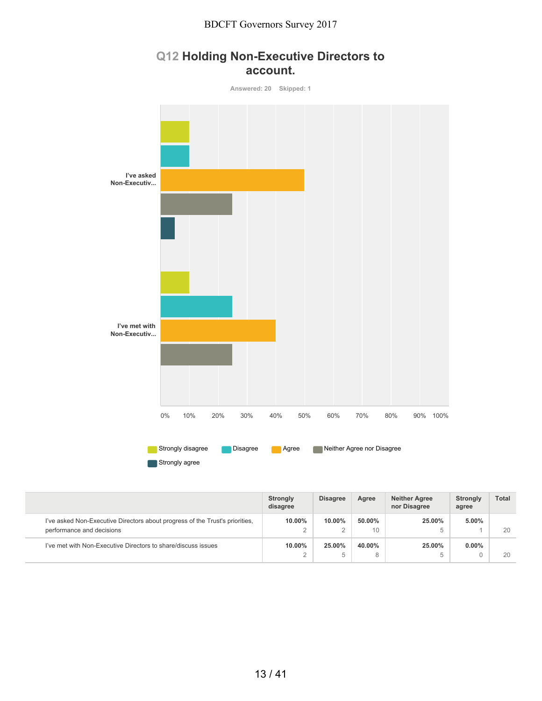## **Q12 Holding Non-Executive Directors to account.**



|                                                                                                           | Strongly<br>disagree | <b>Disagree</b> | Agree        | <b>Neither Agree</b><br>nor Disagree | <b>Strongly</b><br>agree | <b>Total</b> |
|-----------------------------------------------------------------------------------------------------------|----------------------|-----------------|--------------|--------------------------------------|--------------------------|--------------|
| I've asked Non-Executive Directors about progress of the Trust's priorities,<br>performance and decisions | 10.00%               | $10.00\%$       | 50.00%<br>10 | 25.00%<br>b                          | 5.00%                    | 20           |
| I've met with Non-Executive Directors to share/discuss issues                                             | 10.00%               | 25.00%<br>b     | 40.00%<br>8  | 25.00%<br>b                          | $0.00\%$                 | 20           |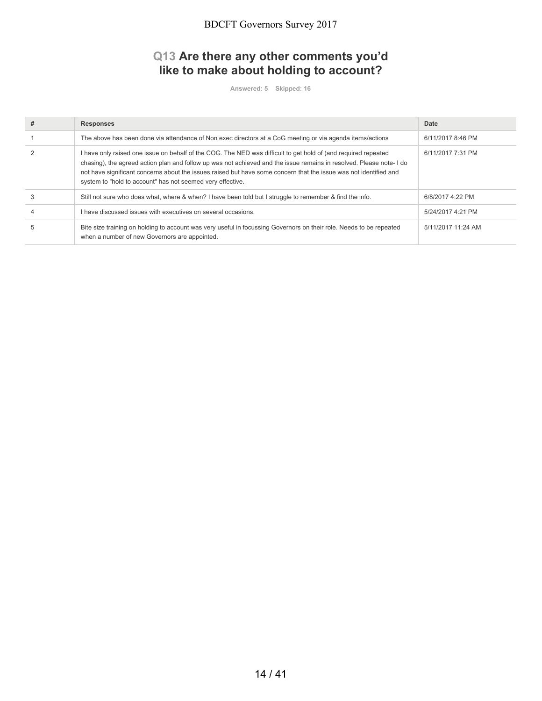### **Q13 Are there any other comments you'd like to make about holding to account?**

**Answered: 5 Skipped: 16**

| <b>Responses</b>                                                                                                                                                                                                                                                                                                                                                                                                         | Date               |
|--------------------------------------------------------------------------------------------------------------------------------------------------------------------------------------------------------------------------------------------------------------------------------------------------------------------------------------------------------------------------------------------------------------------------|--------------------|
| The above has been done via attendance of Non exec directors at a CoG meeting or via agenda items/actions                                                                                                                                                                                                                                                                                                                | 6/11/2017 8:46 PM  |
| I have only raised one issue on behalf of the COG. The NED was difficult to get hold of (and required repeated<br>chasing), the agreed action plan and follow up was not achieved and the issue remains in resolved. Please note-1 do<br>not have significant concerns about the issues raised but have some concern that the issue was not identified and<br>system to "hold to account" has not seemed very effective. | 6/11/2017 7:31 PM  |
| Still not sure who does what, where & when? I have been told but I struggle to remember & find the info.                                                                                                                                                                                                                                                                                                                 | 6/8/2017 4:22 PM   |
| I have discussed issues with executives on several occasions.                                                                                                                                                                                                                                                                                                                                                            | 5/24/2017 4:21 PM  |
| Bite size training on holding to account was very useful in focussing Governors on their role. Needs to be repeated<br>when a number of new Governors are appointed.                                                                                                                                                                                                                                                     | 5/11/2017 11:24 AM |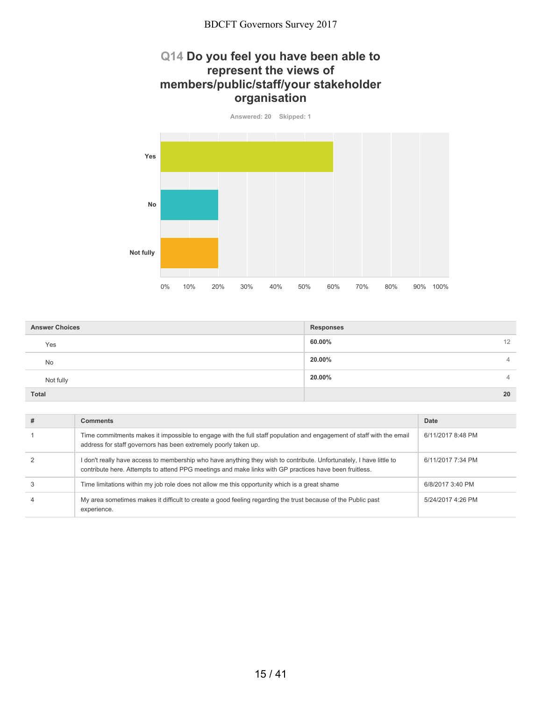#### **Q14 Do you feel you have been able to represent the views of members/public/staff/your stakeholder organisation**

**Answered: 20 Skipped: 1 Yes No Not fully** 0% 10% 20% 30% 40% 50% 60% 70% 80% 90% 100%

| <b>Answer Choices</b> | <b>Responses</b> |
|-----------------------|------------------|
| Yes                   | 60.00%<br>12     |
| <b>No</b>             | 20.00%<br>4      |
| Not fully             | 20.00%<br>4      |
| <b>Total</b>          | 20               |

| <b>Comments</b>                                                                                                                                                                                                               | Date              |
|-------------------------------------------------------------------------------------------------------------------------------------------------------------------------------------------------------------------------------|-------------------|
| Time commitments makes it impossible to engage with the full staff population and engagement of staff with the email<br>address for staff governors has been extremely poorly taken up.                                       | 6/11/2017 8:48 PM |
| I don't really have access to membership who have anything they wish to contribute. Unfortunately, I have little to<br>contribute here. Attempts to attend PPG meetings and make links with GP practices have been fruitless. | 6/11/2017 7:34 PM |
| Time limitations within my job role does not allow me this opportunity which is a great shame                                                                                                                                 | 6/8/2017 3:40 PM  |
| My area sometimes makes it difficult to create a good feeling regarding the trust because of the Public past<br>experience.                                                                                                   | 5/24/2017 4:26 PM |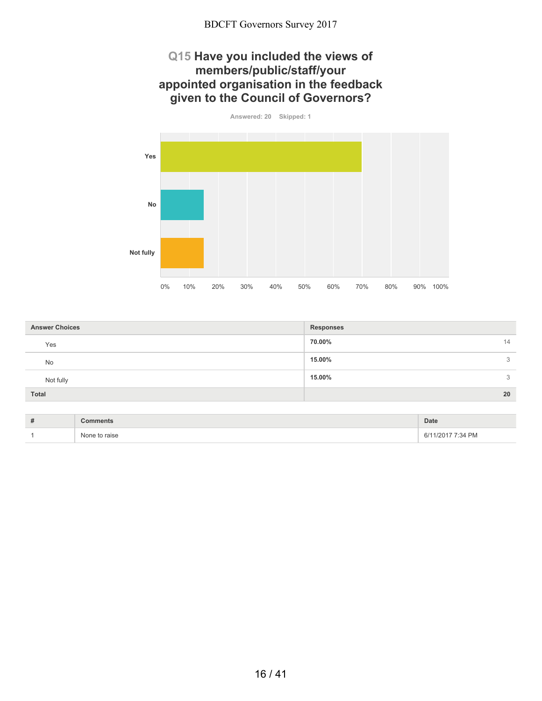## **Q15 Have you included the views of members/public/staff/your appointed organisation in the feedback given to the Council of Governors?**

**Answered: 20 Skipped: 1 Yes No Not fully** 0% 10% 20% 30% 40% 50% 60% 70% 80% 90% 100%

| <b>Answer Choices</b> | <b>Responses</b> |
|-----------------------|------------------|
| Yes                   | 70.00%<br>14     |
| No                    | 15.00%<br>3      |
| Not fully             | 15.00%<br>3      |
| <b>Total</b>          | 20               |

| $\overline{u}$<br>. |                  | Date      |
|---------------------|------------------|-----------|
|                     | ∖l∩r<br>15t<br>. | <b>PM</b> |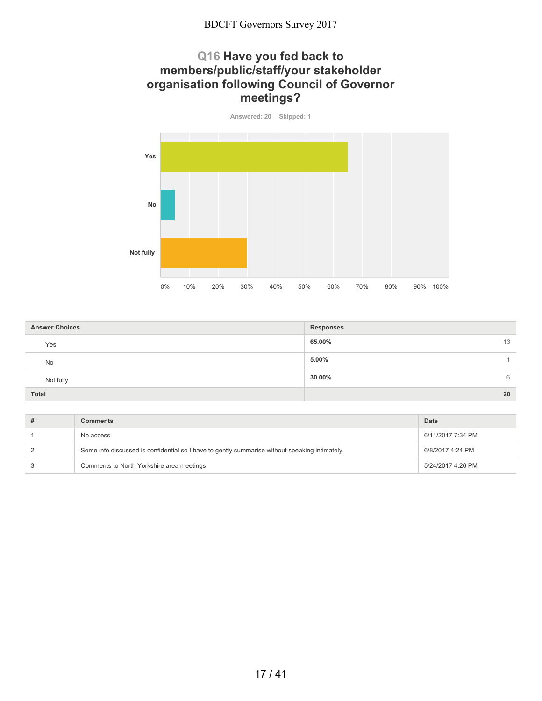### **Q16 Have you fed back to members/public/staff/your stakeholder organisation following Council of Governor meetings?**

**Answered: 20 Skipped: 1 Yes No Not fully** 0% 10% 20% 30% 40% 50% 60% 70% 80% 90% 100%

| <b>Answer Choices</b> | <b>Responses</b> |
|-----------------------|------------------|
| Yes                   | 65.00%<br>13     |
| <b>No</b>             | 5.00%            |
| Not fully             | 30.00%<br>6      |
| <b>Total</b>          | 20               |

| <b>Comments</b>                                                                                | Date              |
|------------------------------------------------------------------------------------------------|-------------------|
| No access                                                                                      | 6/11/2017 7:34 PM |
| Some info discussed is confidential so I have to gently summarise without speaking intimately. | 6/8/2017 4:24 PM  |
| Comments to North Yorkshire area meetings                                                      | 5/24/2017 4:26 PM |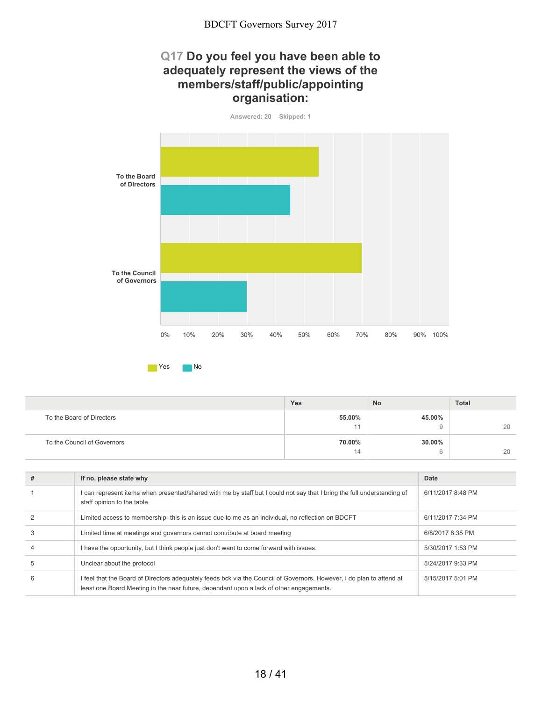### **Q17 Do you feel you have been able to adequately represent the views of the members/staff/public/appointing organisation:**

**Answered: 20 Skipped: 1**



|                             | <b>Yes</b> | <b>No</b>   | Total |
|-----------------------------|------------|-------------|-------|
| To the Board of Directors   | 55.00%     | 45.00%      |       |
|                             | 11         |             | 20    |
| To the Council of Governors | 70.00%     | 30.00%      |       |
|                             | 14         | $\sim$<br>u | 20    |

| # | If no, please state why                                                                                                                                                                                          | Date              |
|---|------------------------------------------------------------------------------------------------------------------------------------------------------------------------------------------------------------------|-------------------|
|   | I can represent items when presented/shared with me by staff but I could not say that I bring the full understanding of<br>staff opinion to the table                                                            | 6/11/2017 8:48 PM |
|   | Limited access to membership-this is an issue due to me as an individual, no reflection on BDCFT                                                                                                                 | 6/11/2017 7:34 PM |
| 3 | Limited time at meetings and governors cannot contribute at board meeting                                                                                                                                        | 6/8/2017 8:35 PM  |
|   | I have the opportunity, but I think people just don't want to come forward with issues.                                                                                                                          | 5/30/2017 1:53 PM |
| 5 | Unclear about the protocol                                                                                                                                                                                       | 5/24/2017 9:33 PM |
| 6 | I feel that the Board of Directors adequately feeds bck via the Council of Governors. However, I do plan to attend at<br>least one Board Meeting in the near future, dependant upon a lack of other engagements. | 5/15/2017 5:01 PM |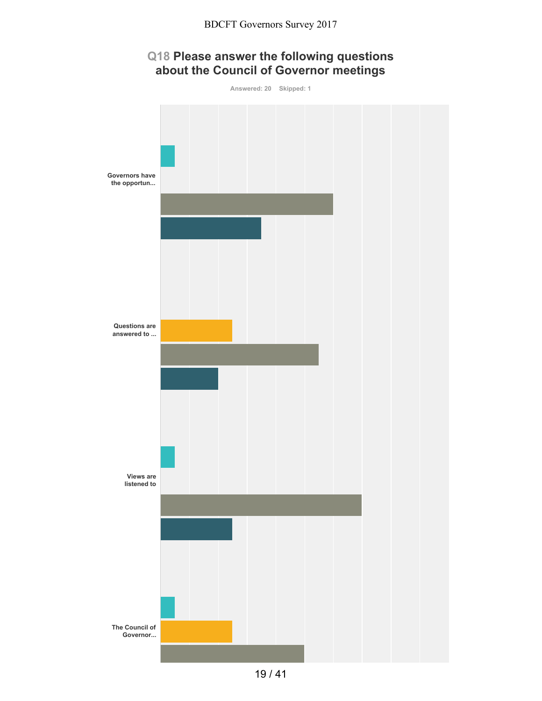# **Q18 Please answer the following questions about the Council of Governor meetings**

**Answered: 20 Skipped: 1 Governors have the opportun... Questions are answered to ... Views are listened to The Council of Governor...**

19 / 41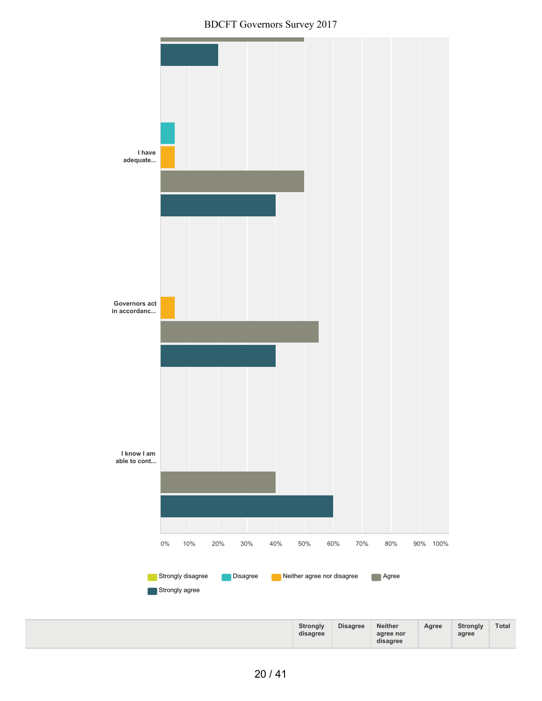BDCFT Governors Survey 2017

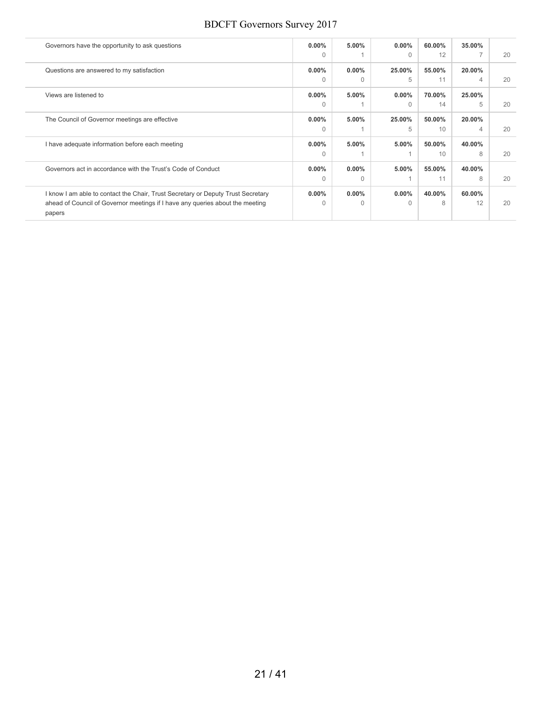| Governors have the opportunity to ask questions                                         | $0.00\%$ | 5.00%    | $0.00\%$  | 60.00% | 35.00% |  |
|-----------------------------------------------------------------------------------------|----------|----------|-----------|--------|--------|--|
|                                                                                         | $\Omega$ |          | $\Omega$  | 12     |        |  |
| Questions are answered to my satisfaction                                               | $0.00\%$ | $0.00\%$ | 25.00%    | 55.00% | 20.00% |  |
|                                                                                         | $\Omega$ | $\Omega$ | 5         | 11     | 4      |  |
| Views are listened to                                                                   | $0.00\%$ | 5.00%    | $0.00\%$  | 70.00% | 25.00% |  |
|                                                                                         | $\Omega$ |          | $\Omega$  | 14     | 5      |  |
| The Council of Governor meetings are effective                                          | $0.00\%$ | $5.00\%$ | 25.00%    | 50.00% | 20.00% |  |
|                                                                                         | $\Omega$ |          | 5         | 10     | 4      |  |
| I have adequate information before each meeting                                         | $0.00\%$ | 5.00%    | 5.00%     | 50.00% | 40.00% |  |
|                                                                                         | $\Omega$ |          |           | 10     | 8      |  |
| Governors act in accordance with the Trust's Code of Conduct                            | $0.00\%$ | $0.00\%$ | 5.00%     | 55.00% | 40.00% |  |
|                                                                                         | 0        | $\Omega$ |           | 11     | 8      |  |
| I know I am able to contact the Chair, Trust Secretary or Deputy Trust Secretary        | $0.00\%$ | $0.00\%$ | $0.00\%$  | 40.00% | 60.00% |  |
| ahead of Council of Governor meetings if I have any queries about the meeting<br>papers | 0        | $\Omega$ | $\bigcap$ | 8      | 12     |  |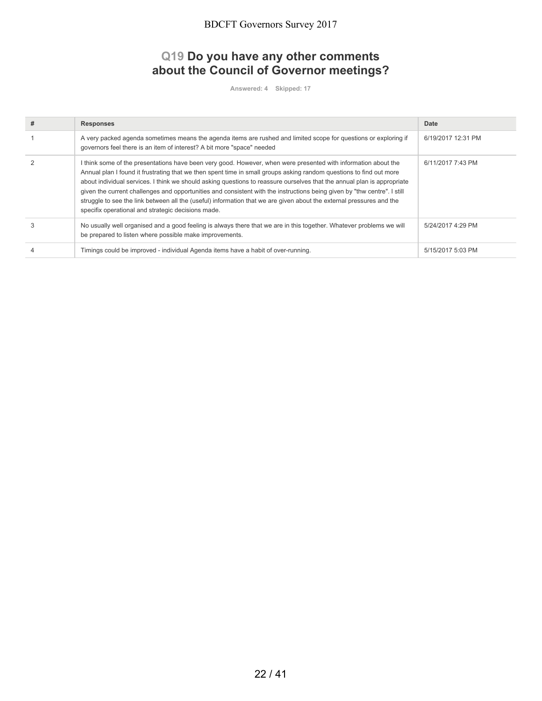#### **Q19 Do you have any other comments about the Council of Governor meetings?**

**Answered: 4 Skipped: 17**

| # | <b>Responses</b>                                                                                                                                                                                                                                                                                                                                                                                                                                                                                                                                                                                                                                                           | Date               |
|---|----------------------------------------------------------------------------------------------------------------------------------------------------------------------------------------------------------------------------------------------------------------------------------------------------------------------------------------------------------------------------------------------------------------------------------------------------------------------------------------------------------------------------------------------------------------------------------------------------------------------------------------------------------------------------|--------------------|
|   | A very packed agenda sometimes means the agenda items are rushed and limited scope for questions or exploring if<br>governors feel there is an item of interest? A bit more "space" needed                                                                                                                                                                                                                                                                                                                                                                                                                                                                                 | 6/19/2017 12:31 PM |
|   | I think some of the presentations have been very good. However, when were presented with information about the<br>Annual plan I found it frustrating that we then spent time in small groups asking random questions to find out more<br>about individual services. I think we should asking questions to reassure ourselves that the annual plan is appropriate<br>given the current challenges and opportunities and consistent with the instructions being given by "thw centre". I still<br>struggle to see the link between all the (useful) information that we are given about the external pressures and the<br>specifix operational and strategic decisions made. | 6/11/2017 7:43 PM  |
| 3 | No usually well organised and a good feeling is always there that we are in this together. Whatever problems we will<br>be prepared to listen where possible make improvements.                                                                                                                                                                                                                                                                                                                                                                                                                                                                                            | 5/24/2017 4:29 PM  |
|   | Timings could be improved - individual Agenda items have a habit of over-running.                                                                                                                                                                                                                                                                                                                                                                                                                                                                                                                                                                                          | 5/15/2017 5:03 PM  |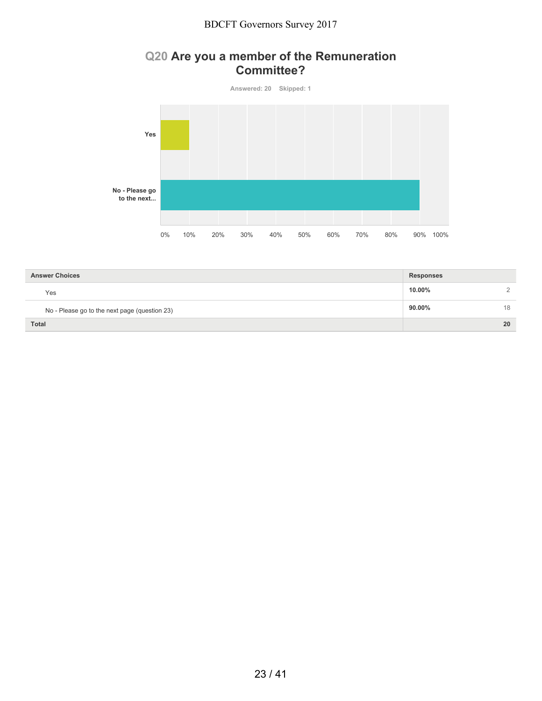### **Q20 Are you a member of the Remuneration Committee?**



| <b>Answer Choices</b>                         | <b>Responses</b> |          |
|-----------------------------------------------|------------------|----------|
| Yes                                           | 10.00%           | $\Omega$ |
| No - Please go to the next page (question 23) | 90.00%           | 18       |
| <b>Total</b>                                  |                  | 20       |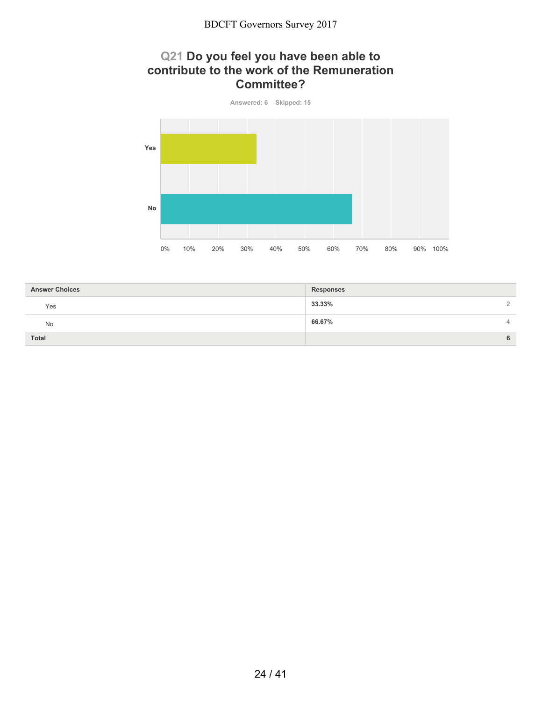### **Q21 Do you feel you have been able to contribute to the work of the Remuneration Committee?**



| <b>Answer Choices</b> | <b>Responses</b>   |
|-----------------------|--------------------|
| Yes                   | 33.33%<br>$\Omega$ |
| No                    | 66.67%<br>4        |
| <b>Total</b>          | 6                  |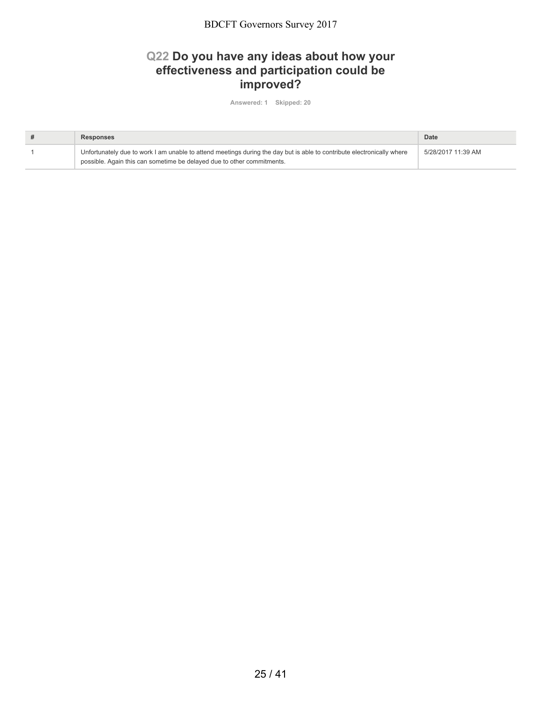### **Q22 Do you have any ideas about how your effectiveness and participation could be improved?**

**Answered: 1 Skipped: 20**

| Responses                                                                                                                                                                                        | Date               |
|--------------------------------------------------------------------------------------------------------------------------------------------------------------------------------------------------|--------------------|
| Unfortunately due to work I am unable to attend meetings during the day but is able to contribute electronically where<br>possible. Again this can sometime be delayed due to other commitments. | 5/28/2017 11:39 AM |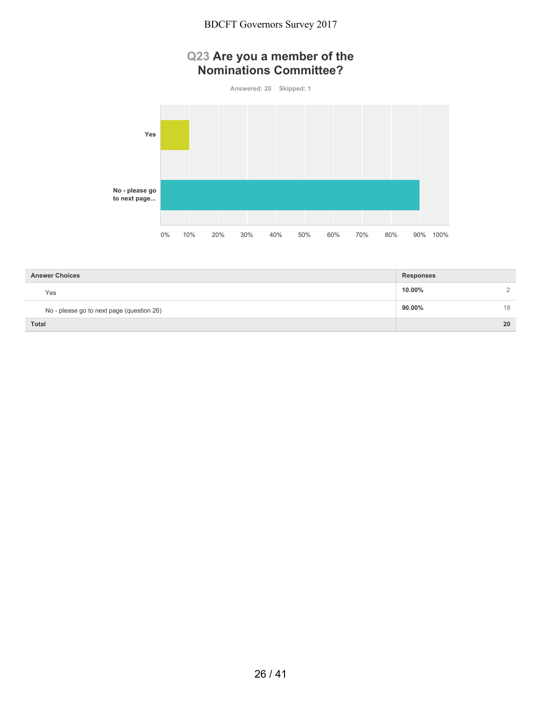#### **Q23 Are you a member of the Nominations Committee?**

**Answered: 20 Skipped: 1 Yes No - please go to next page...** 0% 10% 20% 30% 40% 50% 60% 70% 80% 90% 100%

| <b>Answer Choices</b>                     | <b>Responses</b> |    |
|-------------------------------------------|------------------|----|
| Yes                                       | 10.00%           |    |
| No - please go to next page (question 26) | $90.00\%$        | 18 |
| <b>Total</b>                              |                  | 20 |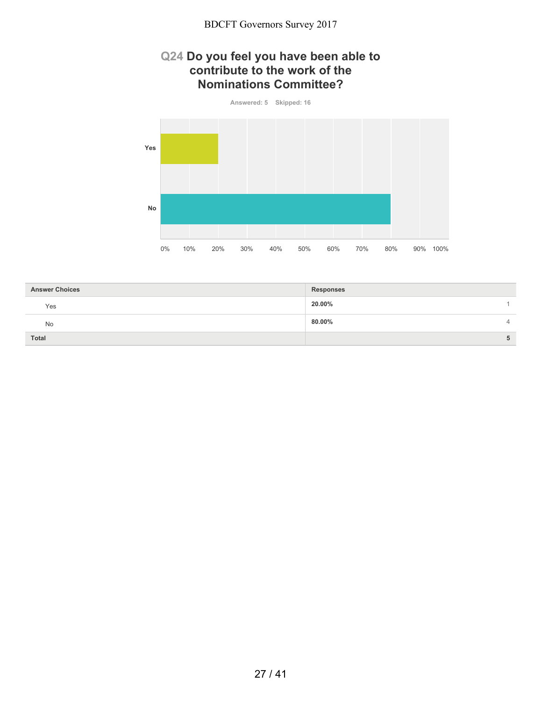#### **Q24 Do you feel you have been able to contribute to the work of the Nominations Committee?**



| <b>Answer Choices</b> | <b>Responses</b> |
|-----------------------|------------------|
| Yes                   | 20.00%           |
| No                    | 80.00%<br>4      |
| <b>Total</b>          | 5                |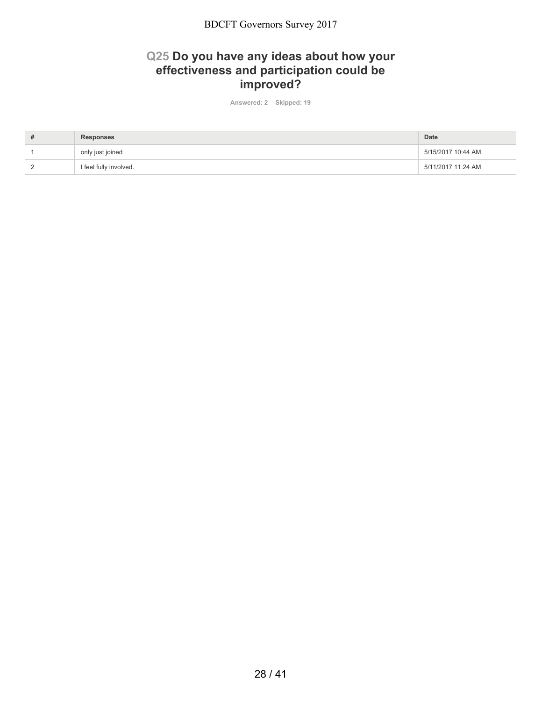### **Q25 Do you have any ideas about how your effectiveness and participation could be improved?**

**Answered: 2 Skipped: 19**

| ₩ | <b>Responses</b>       | Date               |
|---|------------------------|--------------------|
|   | only just joined       | 5/15/2017 10:44 AM |
|   | I feel fully involved. | 5/11/2017 11:24 AM |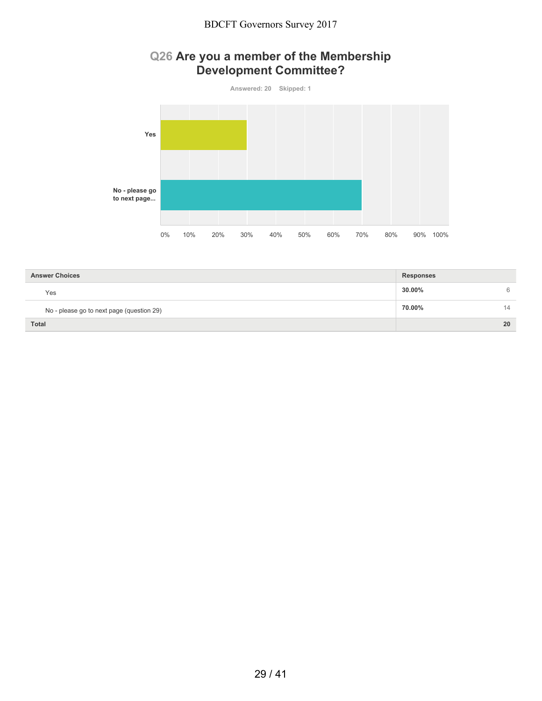# **Q26 Are you a member of the Membership Development Committee?**



| <b>Answer Choices</b>                     | <b>Responses</b> |    |
|-------------------------------------------|------------------|----|
| Yes                                       | 30.00%           | 6  |
| No - please go to next page (question 29) | 70.00%           | 14 |
| <b>Total</b>                              |                  | 20 |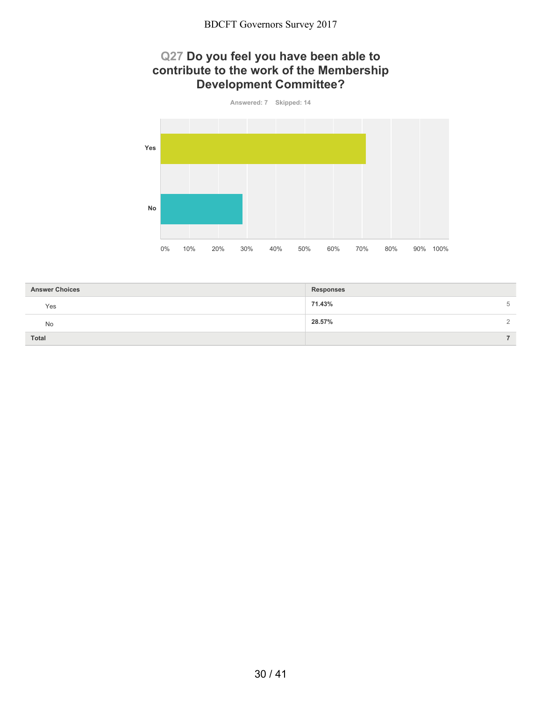### **Q27 Do you feel you have been able to contribute to the work of the Membership Development Committee?**



| 5        |
|----------|
| $\Omega$ |
|          |
|          |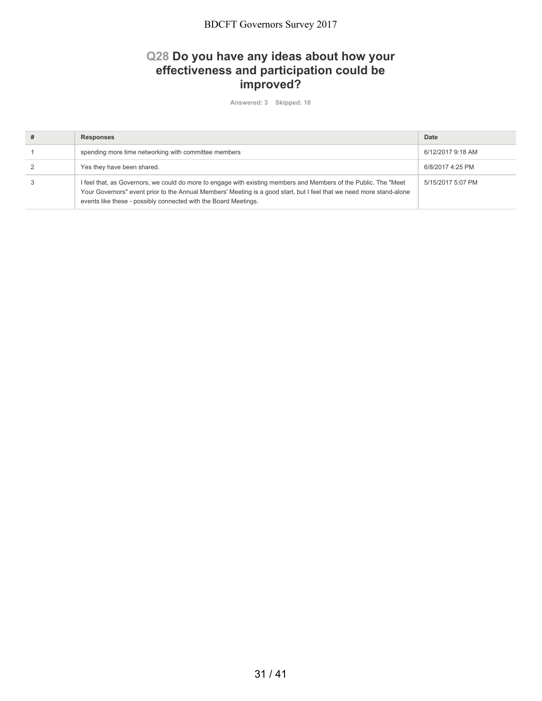### **Q28 Do you have any ideas about how your effectiveness and participation could be improved?**

**Answered: 3 Skipped: 18**

| # | <b>Responses</b>                                                                                                                                                                                                                                                                                            | Date              |
|---|-------------------------------------------------------------------------------------------------------------------------------------------------------------------------------------------------------------------------------------------------------------------------------------------------------------|-------------------|
|   | spending more time networking with committee members                                                                                                                                                                                                                                                        | 6/12/2017 9:18 AM |
|   | Yes they have been shared.                                                                                                                                                                                                                                                                                  | 6/8/2017 4:25 PM  |
|   | I feel that, as Governors, we could do more to engage with existing members and Members of the Public. The "Meet<br>Your Governors" event prior to the Annual Members' Meeting is a good start, but I feel that we need more stand-alone<br>events like these - possibly connected with the Board Meetings. | 5/15/2017 5:07 PM |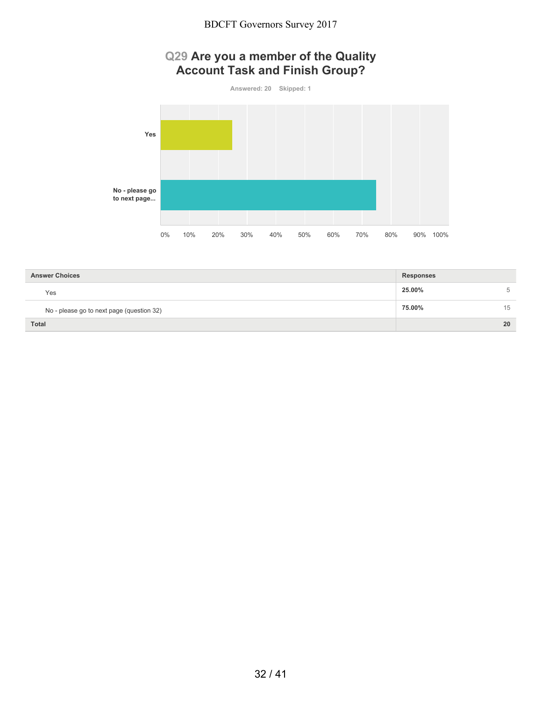# **Q29 Are you a member of the Quality Account Task and Finish Group?**



| <b>Answer Choices</b>                     | <b>Responses</b> |    |
|-------------------------------------------|------------------|----|
| Yes                                       | 25.00%           | 5  |
| No - please go to next page (question 32) | 75.00%           | 15 |
| <b>Total</b>                              |                  | 20 |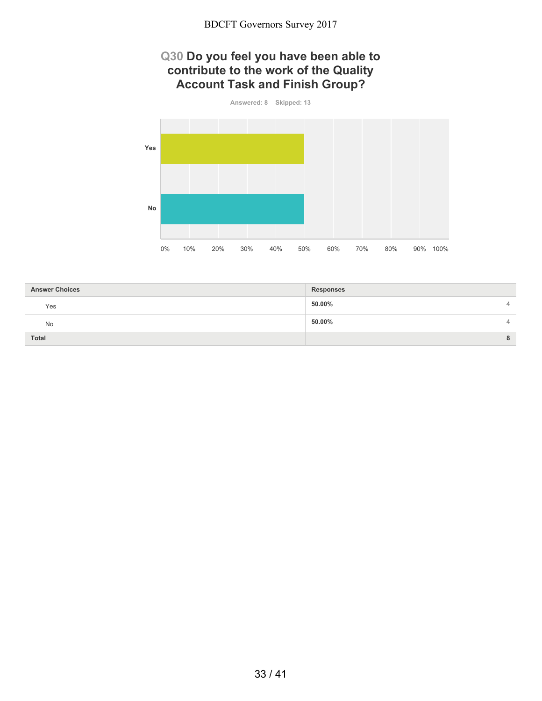### **Q30 Do you feel you have been able to contribute to the work of the Quality Account Task and Finish Group?**



| <b>Answer Choices</b> | <b>Responses</b> |   |
|-----------------------|------------------|---|
| Yes                   | 50.00%           | 4 |
| No                    | 50.00%           | 4 |
| <b>Total</b>          |                  | 8 |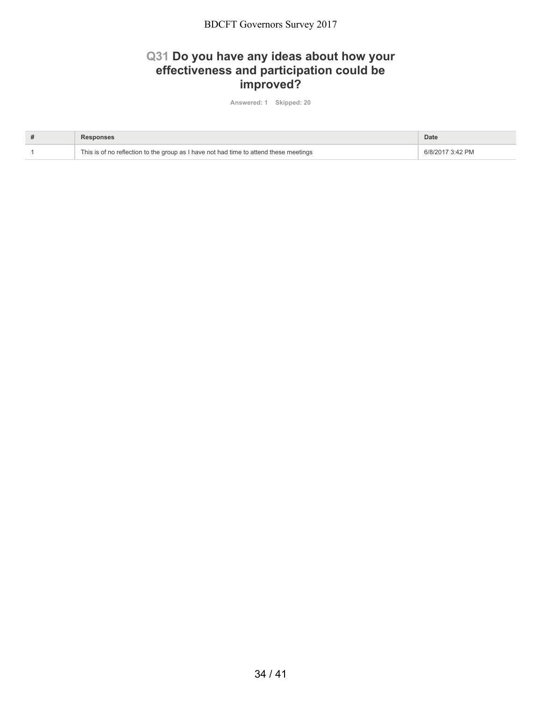### **Q31 Do you have any ideas about how your effectiveness and participation could be improved?**

**Answered: 1 Skipped: 20**

| Responses                                                                             | Date             |
|---------------------------------------------------------------------------------------|------------------|
| This is of no reflection to the group as I have not had time to attend these meetings | 6/8/2017 3:42 PM |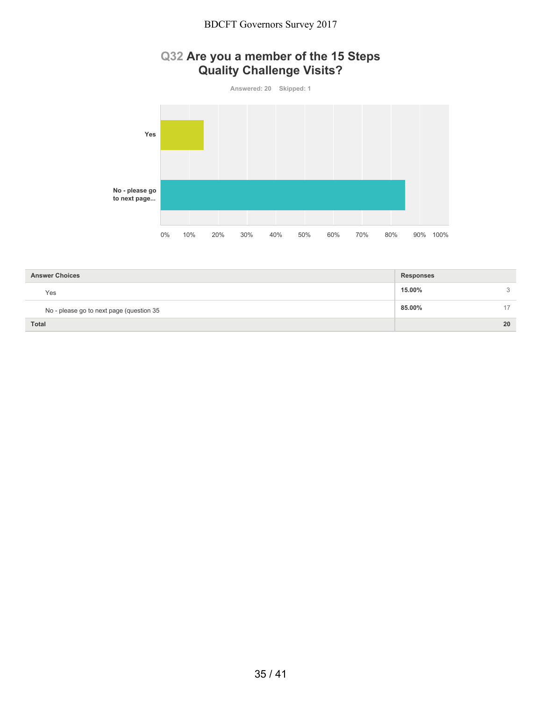# **Q32 Are you a member of the 15 Steps Quality Challenge Visits?**



| <b>Answer Choices</b>                    | <b>Responses</b> |              |
|------------------------------------------|------------------|--------------|
| Yes                                      | 15.00%           | $\mathbf{r}$ |
| No - please go to next page (question 35 | 85.00%           | 17           |
| <b>Total</b>                             |                  | 20           |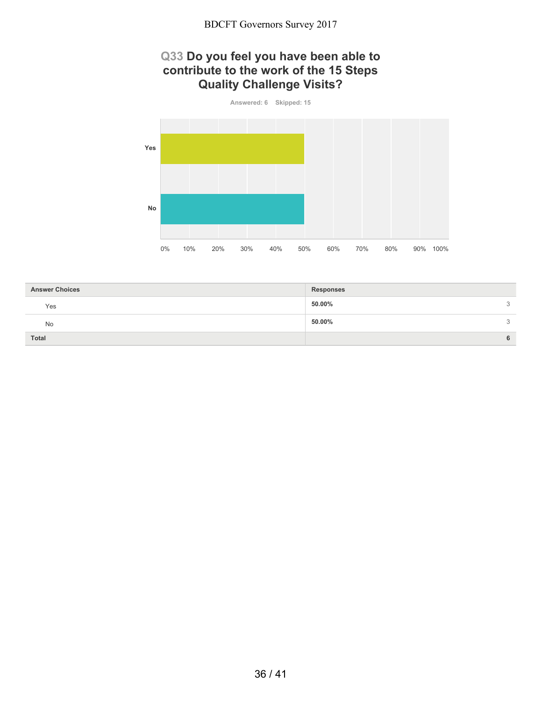## **Q33 Do you feel you have been able to contribute to the work of the 15 Steps Quality Challenge Visits?**



| <b>Answer Choices</b> | <b>Responses</b> |   |
|-----------------------|------------------|---|
| Yes                   | 50.00%           | 3 |
| No                    | 50.00%<br>3      |   |
| <b>Total</b>          | 6                |   |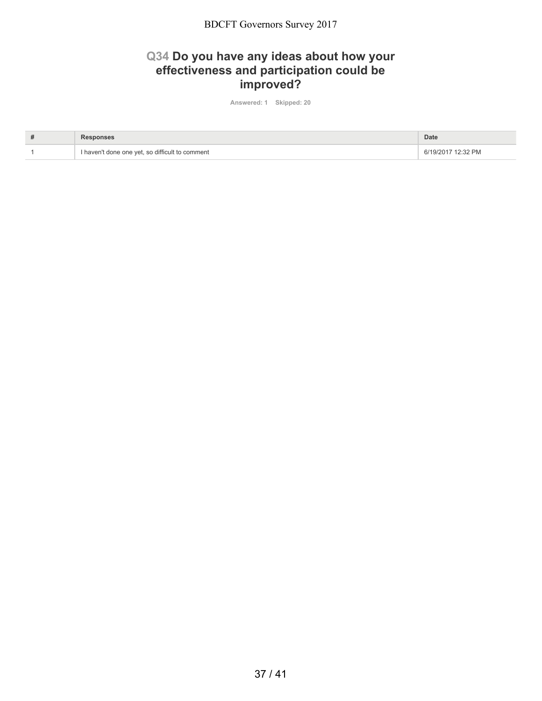#### **Q34 Do you have any ideas about how your effectiveness and participation could be improved?**

**Answered: 1 Skipped: 20**

| Responses                                       | Date                 |
|-------------------------------------------------|----------------------|
| I haven't done one yet, so difficult to comment | 2:32 PM<br>6/19/2017 |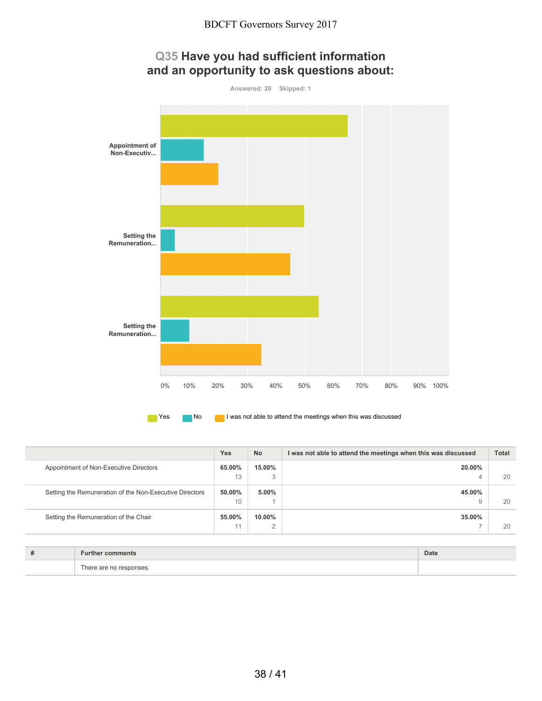



**No I was not able to attend the meetings when this was discussed** 

|                                                         | <b>Yes</b>   | <b>No</b>     | I was not able to attend the meetings when this was discussed | <b>Total</b> |
|---------------------------------------------------------|--------------|---------------|---------------------------------------------------------------|--------------|
| Appointment of Non-Executive Directors                  | 65.00%<br>13 | 15.00%<br>3   | 20.00%                                                        | 20           |
|                                                         |              |               |                                                               |              |
| Setting the Remuneration of the Non-Executive Directors | 50.00%       | 5.00%         | 45.00%                                                        |              |
|                                                         | 10           |               |                                                               | 20           |
| Setting the Remuneration of the Chair                   | 55.00%       | 10.00%        | 35.00%                                                        |              |
|                                                         | 11           | $\Omega$<br>ے |                                                               | 20           |

| -- | .           | Date |
|----|-------------|------|
|    | $\sim$<br>. |      |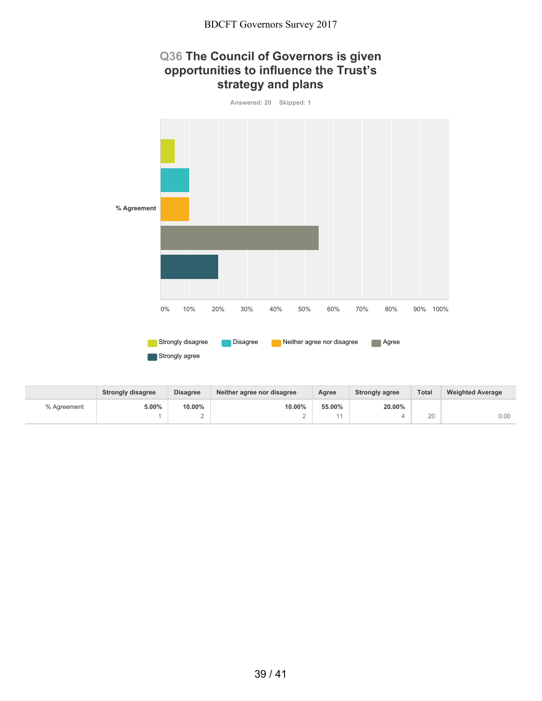## **Q36 The Council of Governors is given opportunities to influence the Trust's strategy and plans**



|             | <b>Strongly disagree</b> | <b>Disagree</b> | Neither agree nor disagree | Agree  | <b>Strongly agree</b> | <b>Total</b> | <b>Weighted Average</b> |
|-------------|--------------------------|-----------------|----------------------------|--------|-----------------------|--------------|-------------------------|
| % Agreement | 5.00%                    | 10.00%          | 10.00%                     | 55.00% | 20.00%                |              |                         |
|             |                          |                 |                            |        |                       | 20           | 0.00                    |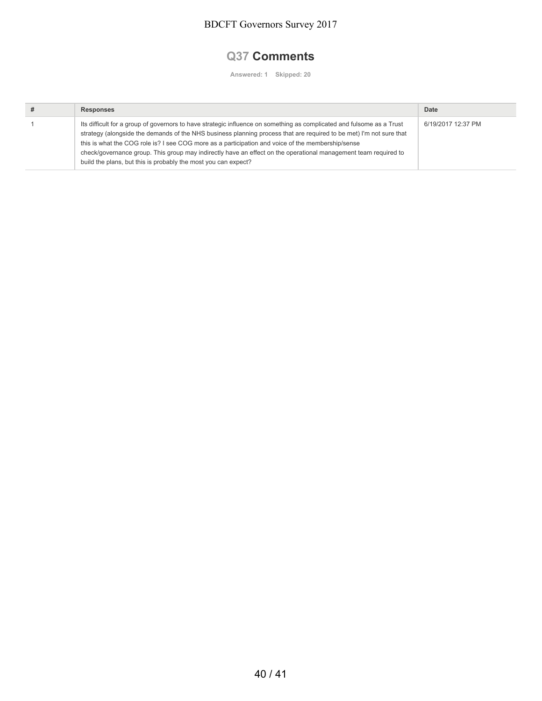## **Q37 Comments**

**Answered: 1 Skipped: 20**

| <b>Responses</b>                                                                                                                                                                                                                                                                                                                                                                                                                                                                                                                       | Date               |
|----------------------------------------------------------------------------------------------------------------------------------------------------------------------------------------------------------------------------------------------------------------------------------------------------------------------------------------------------------------------------------------------------------------------------------------------------------------------------------------------------------------------------------------|--------------------|
| Its difficult for a group of governors to have strategic influence on something as complicated and fulsome as a Trust<br>strategy (alongside the demands of the NHS business planning process that are required to be met) I'm not sure that<br>this is what the COG role is? I see COG more as a participation and voice of the membership/sense<br>check/governance group. This group may indirectly have an effect on the operational management team required to<br>build the plans, but this is probably the most you can expect? | 6/19/2017 12:37 PM |